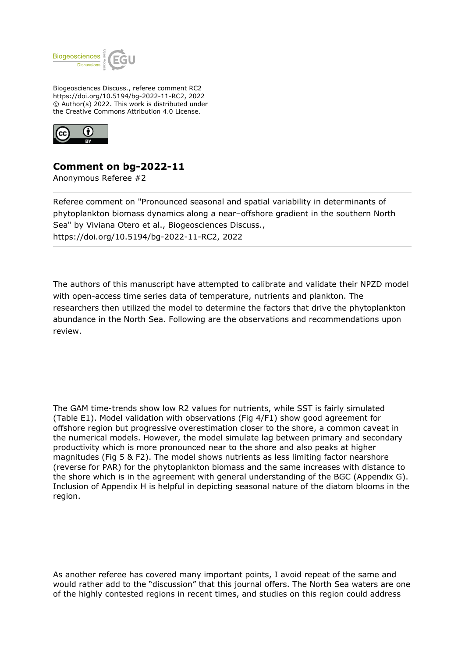

Biogeosciences Discuss., referee comment RC2 https://doi.org/10.5194/bg-2022-11-RC2, 2022 © Author(s) 2022. This work is distributed under the Creative Commons Attribution 4.0 License.



## **Comment on bg-2022-11**

Anonymous Referee #2

Referee comment on "Pronounced seasonal and spatial variability in determinants of phytoplankton biomass dynamics along a near–offshore gradient in the southern North Sea" by Viviana Otero et al., Biogeosciences Discuss., https://doi.org/10.5194/bg-2022-11-RC2, 2022

The authors of this manuscript have attempted to calibrate and validate their NPZD model with open-access time series data of temperature, nutrients and plankton. The researchers then utilized the model to determine the factors that drive the phytoplankton abundance in the North Sea. Following are the observations and recommendations upon review.

The GAM time-trends show low R2 values for nutrients, while SST is fairly simulated (Table E1). Model validation with observations (Fig 4/F1) show good agreement for offshore region but progressive overestimation closer to the shore, a common caveat in the numerical models. However, the model simulate lag between primary and secondary productivity which is more pronounced near to the shore and also peaks at higher magnitudes (Fig 5 & F2). The model shows nutrients as less limiting factor nearshore (reverse for PAR) for the phytoplankton biomass and the same increases with distance to the shore which is in the agreement with general understanding of the BGC (Appendix G). Inclusion of Appendix H is helpful in depicting seasonal nature of the diatom blooms in the region.

As another referee has covered many important points, I avoid repeat of the same and would rather add to the "discussion" that this journal offers. The North Sea waters are one of the highly contested regions in recent times, and studies on this region could address